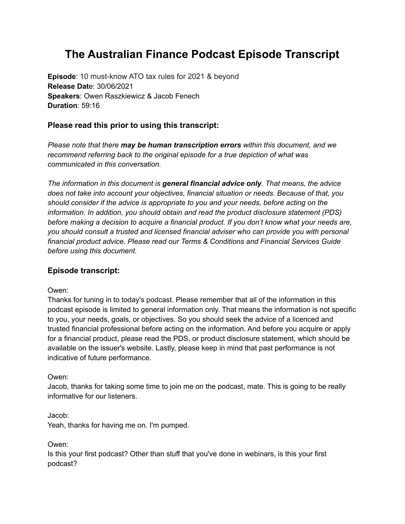# **The Australian Finance Podcast Episode Transcript**

**Episode**: 10 must-know ATO tax rules for 2021 & beyond **Release Dat**e: 30/06/2021 **Speakers**: Owen Raszkiewicz & Jacob Fenech **Duration**: 59:16

# **Please read this prior to using this transcript:**

*Please note that there may be human transcription errors within this document, and we recommend referring back to the original episode for a true depiction of what was communicated in this conversation.*

*The information in this document is general financial advice only. That means, the advice does not take into account your objectives, financial situation or needs. Because of that, you should consider if the advice is appropriate to you and your needs, before acting on the information. In addition, you should obtain and read the product disclosure statement (PDS) before making a decision to acquire a financial product. If you don't know what your needs are, you should consult a trusted and licensed financial adviser who can provide you with personal financial product advice. Please read our Terms & [Conditions](https://www.rask.com.au/terms) and [Financial](https://www.rask.com.au/fsg) Services Guide before using this document.*

# **Episode transcript:**

# Owen:

Thanks for tuning in to today's podcast. Please remember that all of the information in this podcast episode is limited to general information only. That means the information is not specific to you, your needs, goals, or objectives. So you should seek the advice of a licenced and trusted financial professional before acting on the information. And before you acquire or apply for a financial product, please read the PDS, or product disclosure statement, which should be available on the issuer's website. Lastly, please keep in mind that past performance is not indicative of future performance.

# Owen:

Jacob, thanks for taking some time to join me on the podcast, mate. This is going to be really informative for our listeners.

Jacob:

Yeah, thanks for having me on. I'm pumped.

Owen:

Is this your first podcast? Other than stuff that you've done in webinars, is this your first podcast?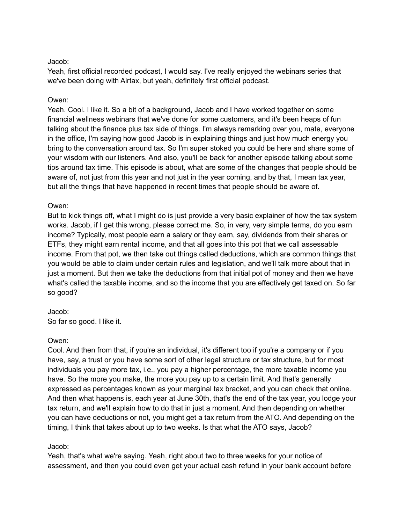Yeah, first official recorded podcast, I would say. I've really enjoyed the webinars series that we've been doing with Airtax, but yeah, definitely first official podcast.

### Owen:

Yeah. Cool. I like it. So a bit of a background, Jacob and I have worked together on some financial wellness webinars that we've done for some customers, and it's been heaps of fun talking about the finance plus tax side of things. I'm always remarking over you, mate, everyone in the office, I'm saying how good Jacob is in explaining things and just how much energy you bring to the conversation around tax. So I'm super stoked you could be here and share some of your wisdom with our listeners. And also, you'll be back for another episode talking about some tips around tax time. This episode is about, what are some of the changes that people should be aware of, not just from this year and not just in the year coming, and by that, I mean tax year, but all the things that have happened in recent times that people should be aware of.

## Owen:

But to kick things off, what I might do is just provide a very basic explainer of how the tax system works. Jacob, if I get this wrong, please correct me. So, in very, very simple terms, do you earn income? Typically, most people earn a salary or they earn, say, dividends from their shares or ETFs, they might earn rental income, and that all goes into this pot that we call assessable income. From that pot, we then take out things called deductions, which are common things that you would be able to claim under certain rules and legislation, and we'll talk more about that in just a moment. But then we take the deductions from that initial pot of money and then we have what's called the taxable income, and so the income that you are effectively get taxed on. So far so good?

# Jacob:

So far so good. I like it.

#### Owen:

Cool. And then from that, if you're an individual, it's different too if you're a company or if you have, say, a trust or you have some sort of other legal structure or tax structure, but for most individuals you pay more tax, i.e., you pay a higher percentage, the more taxable income you have. So the more you make, the more you pay up to a certain limit. And that's generally expressed as percentages known as your marginal tax bracket, and you can check that online. And then what happens is, each year at June 30th, that's the end of the tax year, you lodge your tax return, and we'll explain how to do that in just a moment. And then depending on whether you can have deductions or not, you might get a tax return from the ATO. And depending on the timing, I think that takes about up to two weeks. Is that what the ATO says, Jacob?

# Jacob:

Yeah, that's what we're saying. Yeah, right about two to three weeks for your notice of assessment, and then you could even get your actual cash refund in your bank account before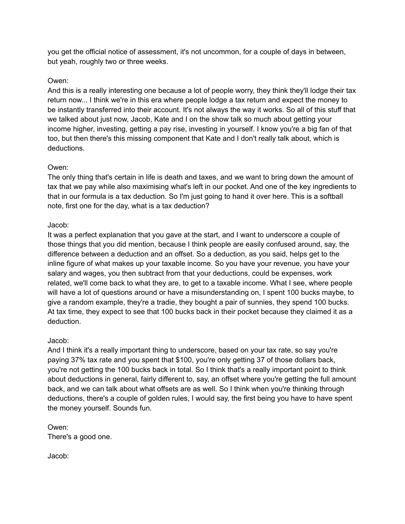you get the official notice of assessment, it's not uncommon, for a couple of days in between, but yeah, roughly two or three weeks.

## Owen:

And this is a really interesting one because a lot of people worry, they think they'll lodge their tax return now... I think we're in this era where people lodge a tax return and expect the money to be instantly transferred into their account. It's not always the way it works. So all of this stuff that we talked about just now, Jacob, Kate and I on the show talk so much about getting your income higher, investing, getting a pay rise, investing in yourself. I know you're a big fan of that too, but then there's this missing component that Kate and I don't really talk about, which is deductions.

## Owen:

The only thing that's certain in life is death and taxes, and we want to bring down the amount of tax that we pay while also maximising what's left in our pocket. And one of the key ingredients to that in our formula is a tax deduction. So I'm just going to hand it over here. This is a softball note, first one for the day, what is a tax deduction?

## Jacob:

It was a perfect explanation that you gave at the start, and I want to underscore a couple of those things that you did mention, because I think people are easily confused around, say, the difference between a deduction and an offset. So a deduction, as you said, helps get to the inline figure of what makes up your taxable income. So you have your revenue, you have your salary and wages, you then subtract from that your deductions, could be expenses, work related, we'll come back to what they are, to get to a taxable income. What I see, where people will have a lot of questions around or have a misunderstanding on, I spent 100 bucks maybe, to give a random example, they're a tradie, they bought a pair of sunnies, they spend 100 bucks. At tax time, they expect to see that 100 bucks back in their pocket because they claimed it as a deduction.

# Jacob:

And I think it's a really important thing to underscore, based on your tax rate, so say you're paying 37% tax rate and you spent that \$100, you're only getting 37 of those dollars back, you're not getting the 100 bucks back in total. So I think that's a really important point to think about deductions in general, fairly different to, say, an offset where you're getting the full amount back, and we can talk about what offsets are as well. So I think when you're thinking through deductions, there's a couple of golden rules, I would say, the first being you have to have spent the money yourself. Sounds fun.

# Owen: There's a good one.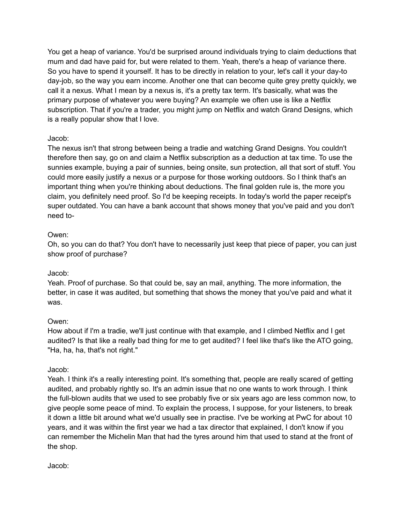You get a heap of variance. You'd be surprised around individuals trying to claim deductions that mum and dad have paid for, but were related to them. Yeah, there's a heap of variance there. So you have to spend it yourself. It has to be directly in relation to your, let's call it your day-to day-job, so the way you earn income. Another one that can become quite grey pretty quickly, we call it a nexus. What I mean by a nexus is, it's a pretty tax term. It's basically, what was the primary purpose of whatever you were buying? An example we often use is like a Netflix subscription. That if you're a trader, you might jump on Netflix and watch Grand Designs, which is a really popular show that I love.

# Jacob:

The nexus isn't that strong between being a tradie and watching Grand Designs. You couldn't therefore then say, go on and claim a Netflix subscription as a deduction at tax time. To use the sunnies example, buying a pair of sunnies, being onsite, sun protection, all that sort of stuff. You could more easily justify a nexus or a purpose for those working outdoors. So I think that's an important thing when you're thinking about deductions. The final golden rule is, the more you claim, you definitely need proof. So I'd be keeping receipts. In today's world the paper receipt's super outdated. You can have a bank account that shows money that you've paid and you don't need to-

# Owen:

Oh, so you can do that? You don't have to necessarily just keep that piece of paper, you can just show proof of purchase?

# Jacob:

Yeah. Proof of purchase. So that could be, say an mail, anything. The more information, the better, in case it was audited, but something that shows the money that you've paid and what it was.

# Owen:

How about if I'm a tradie, we'll just continue with that example, and I climbed Netflix and I get audited? Is that like a really bad thing for me to get audited? I feel like that's like the ATO going, "Ha, ha, ha, that's not right."

# Jacob:

Yeah. I think it's a really interesting point. It's something that, people are really scared of getting audited, and probably rightly so. It's an admin issue that no one wants to work through. I think the full-blown audits that we used to see probably five or six years ago are less common now, to give people some peace of mind. To explain the process, I suppose, for your listeners, to break it down a little bit around what we'd usually see in practise. I've be working at PwC for about 10 years, and it was within the first year we had a tax director that explained, I don't know if you can remember the Michelin Man that had the tyres around him that used to stand at the front of the shop.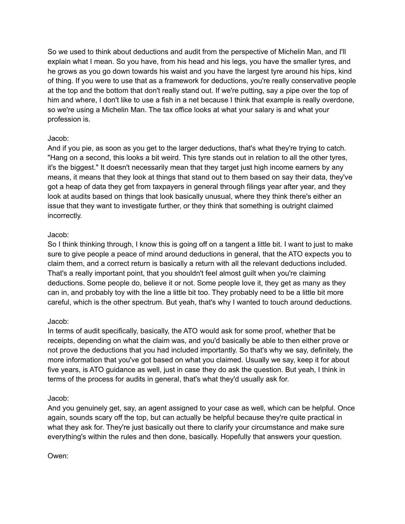So we used to think about deductions and audit from the perspective of Michelin Man, and I'll explain what I mean. So you have, from his head and his legs, you have the smaller tyres, and he grows as you go down towards his waist and you have the largest tyre around his hips, kind of thing. If you were to use that as a framework for deductions, you're really conservative people at the top and the bottom that don't really stand out. If we're putting, say a pipe over the top of him and where, I don't like to use a fish in a net because I think that example is really overdone, so we're using a Michelin Man. The tax office looks at what your salary is and what your profession is.

# Jacob:

And if you pie, as soon as you get to the larger deductions, that's what they're trying to catch. "Hang on a second, this looks a bit weird. This tyre stands out in relation to all the other tyres, it's the biggest." It doesn't necessarily mean that they target just high income earners by any means, it means that they look at things that stand out to them based on say their data, they've got a heap of data they get from taxpayers in general through filings year after year, and they look at audits based on things that look basically unusual, where they think there's either an issue that they want to investigate further, or they think that something is outright claimed incorrectly.

# Jacob:

So I think thinking through, I know this is going off on a tangent a little bit. I want to just to make sure to give people a peace of mind around deductions in general, that the ATO expects you to claim them, and a correct return is basically a return with all the relevant deductions included. That's a really important point, that you shouldn't feel almost guilt when you're claiming deductions. Some people do, believe it or not. Some people love it, they get as many as they can in, and probably toy with the line a little bit too. They probably need to be a little bit more careful, which is the other spectrum. But yeah, that's why I wanted to touch around deductions.

# Jacob:

In terms of audit specifically, basically, the ATO would ask for some proof, whether that be receipts, depending on what the claim was, and you'd basically be able to then either prove or not prove the deductions that you had included importantly. So that's why we say, definitely, the more information that you've got based on what you claimed. Usually we say, keep it for about five years, is ATO guidance as well, just in case they do ask the question. But yeah, I think in terms of the process for audits in general, that's what they'd usually ask for.

# Jacob:

And you genuinely get, say, an agent assigned to your case as well, which can be helpful. Once again, sounds scary off the top, but can actually be helpful because they're quite practical in what they ask for. They're just basically out there to clarify your circumstance and make sure everything's within the rules and then done, basically. Hopefully that answers your question.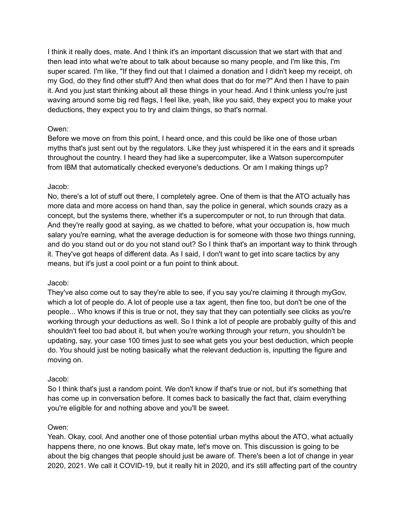I think it really does, mate. And I think it's an important discussion that we start with that and then lead into what we're about to talk about because so many people, and I'm like this, I'm super scared. I'm like, "If they find out that I claimed a donation and I didn't keep my receipt, oh my God, do they find other stuff? And then what does that do for me?" And then I have to pain it. And you just start thinking about all these things in your head. And I think unless you're just waving around some big red flags, I feel like, yeah, like you said, they expect you to make your deductions, they expect you to try and claim things, so that's normal.

## Owen:

Before we move on from this point, I heard once, and this could be like one of those urban myths that's just sent out by the regulators. Like they just whispered it in the ears and it spreads throughout the country. I heard they had like a supercomputer, like a Watson supercomputer from IBM that automatically checked everyone's deductions. Or am I making things up?

## Jacob:

No, there's a lot of stuff out there, I completely agree. One of them is that the ATO actually has more data and more access on hand than, say the police in general, which sounds crazy as a concept, but the systems there, whether it's a supercomputer or not, to run through that data. And they're really good at saying, as we chatted to before, what your occupation is, how much salary you're earning, what the average deduction is for someone with those two things running, and do you stand out or do you not stand out? So I think that's an important way to think through it. They've got heaps of different data. As I said, I don't want to get into scare tactics by any means, but it's just a cool point or a fun point to think about.

#### Jacob:

They've also come out to say they're able to see, if you say you're claiming it through myGov, which a lot of people do. A lot of people use a tax agent, then fine too, but don't be one of the people... Who knows if this is true or not, they say that they can potentially see clicks as you're working through your deductions as well. So I think a lot of people are probably guilty of this and shouldn't feel too bad about it, but when you're working through your return, you shouldn't be updating, say, your case 100 times just to see what gets you your best deduction, which people do. You should just be noting basically what the relevant deduction is, inputting the figure and moving on.

#### Jacob:

So I think that's just a random point. We don't know if that's true or not, but it's something that has come up in conversation before. It comes back to basically the fact that, claim everything you're eligible for and nothing above and you'll be sweet.

#### Owen:

Yeah. Okay, cool. And another one of those potential urban myths about the ATO, what actually happens there, no one knows. But okay mate, let's move on. This discussion is going to be about the big changes that people should just be aware of. There's been a lot of change in year 2020, 2021. We call it COVID-19, but it really hit in 2020, and it's still affecting part of the country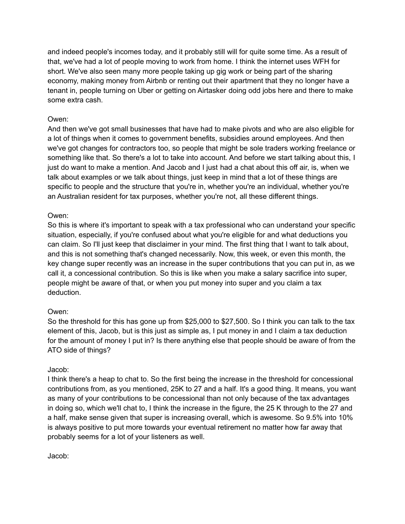and indeed people's incomes today, and it probably still will for quite some time. As a result of that, we've had a lot of people moving to work from home. I think the internet uses WFH for short. We've also seen many more people taking up gig work or being part of the sharing economy, making money from Airbnb or renting out their apartment that they no longer have a tenant in, people turning on Uber or getting on Airtasker doing odd jobs here and there to make some extra cash.

# Owen:

And then we've got small businesses that have had to make pivots and who are also eligible for a lot of things when it comes to government benefits, subsidies around employees. And then we've got changes for contractors too, so people that might be sole traders working freelance or something like that. So there's a lot to take into account. And before we start talking about this, I just do want to make a mention. And Jacob and I just had a chat about this off air, is, when we talk about examples or we talk about things, just keep in mind that a lot of these things are specific to people and the structure that you're in, whether you're an individual, whether you're an Australian resident for tax purposes, whether you're not, all these different things.

## Owen:

So this is where it's important to speak with a tax professional who can understand your specific situation, especially, if you're confused about what you're eligible for and what deductions you can claim. So I'll just keep that disclaimer in your mind. The first thing that I want to talk about, and this is not something that's changed necessarily. Now, this week, or even this month, the key change super recently was an increase in the super contributions that you can put in, as we call it, a concessional contribution. So this is like when you make a salary sacrifice into super, people might be aware of that, or when you put money into super and you claim a tax deduction.

# Owen:

So the threshold for this has gone up from \$25,000 to \$27,500. So I think you can talk to the tax element of this, Jacob, but is this just as simple as, I put money in and I claim a tax deduction for the amount of money I put in? Is there anything else that people should be aware of from the ATO side of things?

# Jacob:

I think there's a heap to chat to. So the first being the increase in the threshold for concessional contributions from, as you mentioned, 25K to 27 and a half. It's a good thing. It means, you want as many of your contributions to be concessional than not only because of the tax advantages in doing so, which we'll chat to, I think the increase in the figure, the 25 K through to the 27 and a half, make sense given that super is increasing overall, which is awesome. So 9.5% into 10% is always positive to put more towards your eventual retirement no matter how far away that probably seems for a lot of your listeners as well.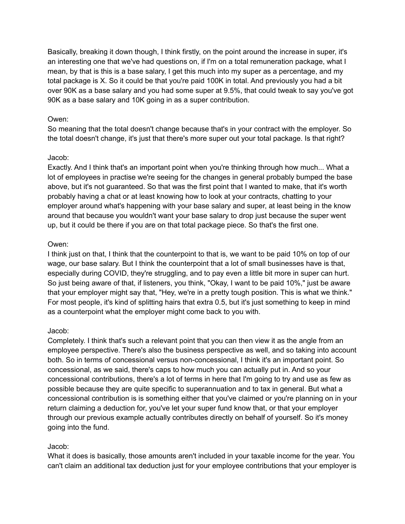Basically, breaking it down though, I think firstly, on the point around the increase in super, it's an interesting one that we've had questions on, if I'm on a total remuneration package, what I mean, by that is this is a base salary, I get this much into my super as a percentage, and my total package is X. So it could be that you're paid 100K in total. And previously you had a bit over 90K as a base salary and you had some super at 9.5%, that could tweak to say you've got 90K as a base salary and 10K going in as a super contribution.

## Owen:

So meaning that the total doesn't change because that's in your contract with the employer. So the total doesn't change, it's just that there's more super out your total package. Is that right?

#### Jacob:

Exactly. And I think that's an important point when you're thinking through how much... What a lot of employees in practise we're seeing for the changes in general probably bumped the base above, but it's not guaranteed. So that was the first point that I wanted to make, that it's worth probably having a chat or at least knowing how to look at your contracts, chatting to your employer around what's happening with your base salary and super, at least being in the know around that because you wouldn't want your base salary to drop just because the super went up, but it could be there if you are on that total package piece. So that's the first one.

## Owen:

I think just on that, I think that the counterpoint to that is, we want to be paid 10% on top of our wage, our base salary. But I think the counterpoint that a lot of small businesses have is that, especially during COVID, they're struggling, and to pay even a little bit more in super can hurt. So just being aware of that, if listeners, you think, "Okay, I want to be paid 10%," just be aware that your employer might say that, "Hey, we're in a pretty tough position. This is what we think." For most people, it's kind of splitting hairs that extra 0.5, but it's just something to keep in mind as a counterpoint what the employer might come back to you with.

# Jacob:

Completely. I think that's such a relevant point that you can then view it as the angle from an employee perspective. There's also the business perspective as well, and so taking into account both. So in terms of concessional versus non-concessional, I think it's an important point. So concessional, as we said, there's caps to how much you can actually put in. And so your concessional contributions, there's a lot of terms in here that I'm going to try and use as few as possible because they are quite specific to superannuation and to tax in general. But what a concessional contribution is is something either that you've claimed or you're planning on in your return claiming a deduction for, you've let your super fund know that, or that your employer through our previous example actually contributes directly on behalf of yourself. So it's money going into the fund.

# Jacob:

What it does is basically, those amounts aren't included in your taxable income for the year. You can't claim an additional tax deduction just for your employee contributions that your employer is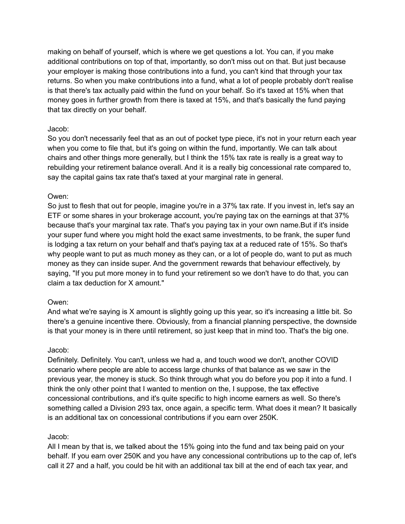making on behalf of yourself, which is where we get questions a lot. You can, if you make additional contributions on top of that, importantly, so don't miss out on that. But just because your employer is making those contributions into a fund, you can't kind that through your tax returns. So when you make contributions into a fund, what a lot of people probably don't realise is that there's tax actually paid within the fund on your behalf. So it's taxed at 15% when that money goes in further growth from there is taxed at 15%, and that's basically the fund paying that tax directly on your behalf.

## Jacob:

So you don't necessarily feel that as an out of pocket type piece, it's not in your return each year when you come to file that, but it's going on within the fund, importantly. We can talk about chairs and other things more generally, but I think the 15% tax rate is really is a great way to rebuilding your retirement balance overall. And it is a really big concessional rate compared to, say the capital gains tax rate that's taxed at your marginal rate in general.

## Owen:

So just to flesh that out for people, imagine you're in a 37% tax rate. If you invest in, let's say an ETF or some shares in your brokerage account, you're paying tax on the earnings at that 37% because that's your marginal tax rate. That's you paying tax in your own name.But if it's inside your super fund where you might hold the exact same investments, to be frank, the super fund is lodging a tax return on your behalf and that's paying tax at a reduced rate of 15%. So that's why people want to put as much money as they can, or a lot of people do, want to put as much money as they can inside super. And the government rewards that behaviour effectively, by saying, "If you put more money in to fund your retirement so we don't have to do that, you can claim a tax deduction for X amount."

#### Owen:

And what we're saying is X amount is slightly going up this year, so it's increasing a little bit. So there's a genuine incentive there. Obviously, from a financial planning perspective, the downside is that your money is in there until retirement, so just keep that in mind too. That's the big one.

#### Jacob:

Definitely. Definitely. You can't, unless we had a, and touch wood we don't, another COVID scenario where people are able to access large chunks of that balance as we saw in the previous year, the money is stuck. So think through what you do before you pop it into a fund. I think the only other point that I wanted to mention on the, I suppose, the tax effective concessional contributions, and it's quite specific to high income earners as well. So there's something called a Division 293 tax, once again, a specific term. What does it mean? It basically is an additional tax on concessional contributions if you earn over 250K.

#### Jacob:

All I mean by that is, we talked about the 15% going into the fund and tax being paid on your behalf. If you earn over 250K and you have any concessional contributions up to the cap of, let's call it 27 and a half, you could be hit with an additional tax bill at the end of each tax year, and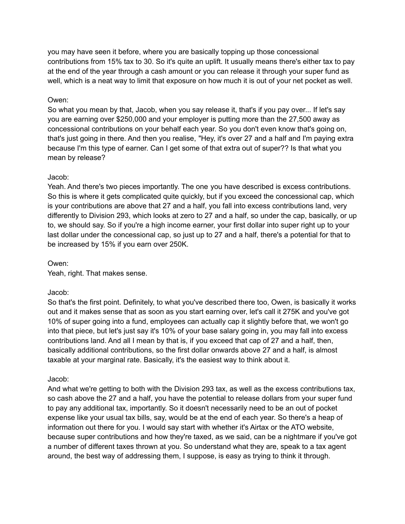you may have seen it before, where you are basically topping up those concessional contributions from 15% tax to 30. So it's quite an uplift. It usually means there's either tax to pay at the end of the year through a cash amount or you can release it through your super fund as well, which is a neat way to limit that exposure on how much it is out of your net pocket as well.

## Owen:

So what you mean by that, Jacob, when you say release it, that's if you pay over... If let's say you are earning over \$250,000 and your employer is putting more than the 27,500 away as concessional contributions on your behalf each year. So you don't even know that's going on, that's just going in there. And then you realise, "Hey, it's over 27 and a half and I'm paying extra because I'm this type of earner. Can I get some of that extra out of super?? Is that what you mean by release?

## Jacob:

Yeah. And there's two pieces importantly. The one you have described is excess contributions. So this is where it gets complicated quite quickly, but if you exceed the concessional cap, which is your contributions are above that 27 and a half, you fall into excess contributions land, very differently to Division 293, which looks at zero to 27 and a half, so under the cap, basically, or up to, we should say. So if you're a high income earner, your first dollar into super right up to your last dollar under the concessional cap, so just up to 27 and a half, there's a potential for that to be increased by 15% if you earn over 250K.

#### Owen:

Yeah, right. That makes sense.

#### Jacob:

So that's the first point. Definitely, to what you've described there too, Owen, is basically it works out and it makes sense that as soon as you start earning over, let's call it 275K and you've got 10% of super going into a fund, employees can actually cap it slightly before that, we won't go into that piece, but let's just say it's 10% of your base salary going in, you may fall into excess contributions land. And all I mean by that is, if you exceed that cap of 27 and a half, then, basically additional contributions, so the first dollar onwards above 27 and a half, is almost taxable at your marginal rate. Basically, it's the easiest way to think about it.

#### Jacob:

And what we're getting to both with the Division 293 tax, as well as the excess contributions tax, so cash above the 27 and a half, you have the potential to release dollars from your super fund to pay any additional tax, importantly. So it doesn't necessarily need to be an out of pocket expense like your usual tax bills, say, would be at the end of each year. So there's a heap of information out there for you. I would say start with whether it's Airtax or the ATO website, because super contributions and how they're taxed, as we said, can be a nightmare if you've got a number of different taxes thrown at you. So understand what they are, speak to a tax agent around, the best way of addressing them, I suppose, is easy as trying to think it through.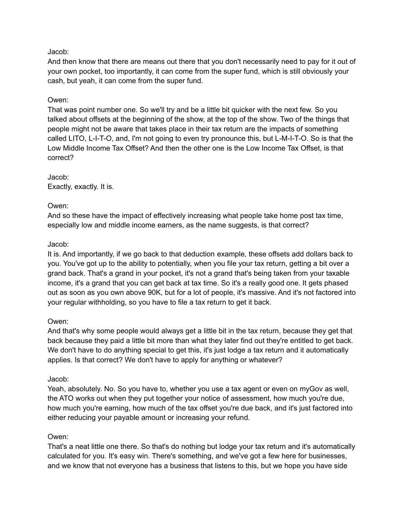And then know that there are means out there that you don't necessarily need to pay for it out of your own pocket, too importantly, it can come from the super fund, which is still obviously your cash, but yeah, it can come from the super fund.

## Owen:

That was point number one. So we'll try and be a little bit quicker with the next few. So you talked about offsets at the beginning of the show, at the top of the show. Two of the things that people might not be aware that takes place in their tax return are the impacts of something called LITO, L-I-T-O, and, I'm not going to even try pronounce this, but L-M-I-T-O. So is that the Low Middle Income Tax Offset? And then the other one is the Low Income Tax Offset, is that correct?

Jacob: Exactly, exactly. It is.

#### Owen:

And so these have the impact of effectively increasing what people take home post tax time, especially low and middle income earners, as the name suggests, is that correct?

## Jacob:

It is. And importantly, if we go back to that deduction example, these offsets add dollars back to you. You've got up to the ability to potentially, when you file your tax return, getting a bit over a grand back. That's a grand in your pocket, it's not a grand that's being taken from your taxable income, it's a grand that you can get back at tax time. So it's a really good one. It gets phased out as soon as you own above 90K, but for a lot of people, it's massive. And it's not factored into your regular withholding, so you have to file a tax return to get it back.

#### Owen:

And that's why some people would always get a little bit in the tax return, because they get that back because they paid a little bit more than what they later find out they're entitled to get back. We don't have to do anything special to get this, it's just lodge a tax return and it automatically applies. Is that correct? We don't have to apply for anything or whatever?

#### Jacob:

Yeah, absolutely. No. So you have to, whether you use a tax agent or even on myGov as well, the ATO works out when they put together your notice of assessment, how much you're due, how much you're earning, how much of the tax offset you're due back, and it's just factored into either reducing your payable amount or increasing your refund.

# Owen:

That's a neat little one there. So that's do nothing but lodge your tax return and it's automatically calculated for you. It's easy win. There's something, and we've got a few here for businesses, and we know that not everyone has a business that listens to this, but we hope you have side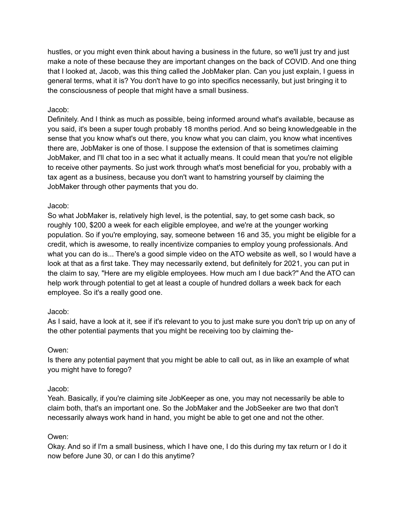hustles, or you might even think about having a business in the future, so we'll just try and just make a note of these because they are important changes on the back of COVID. And one thing that I looked at, Jacob, was this thing called the JobMaker plan. Can you just explain, I guess in general terms, what it is? You don't have to go into specifics necessarily, but just bringing it to the consciousness of people that might have a small business.

# Jacob:

Definitely. And I think as much as possible, being informed around what's available, because as you said, it's been a super tough probably 18 months period. And so being knowledgeable in the sense that you know what's out there, you know what you can claim, you know what incentives there are, JobMaker is one of those. I suppose the extension of that is sometimes claiming JobMaker, and I'll chat too in a sec what it actually means. It could mean that you're not eligible to receive other payments. So just work through what's most beneficial for you, probably with a tax agent as a business, because you don't want to hamstring yourself by claiming the JobMaker through other payments that you do.

# Jacob:

So what JobMaker is, relatively high level, is the potential, say, to get some cash back, so roughly 100, \$200 a week for each eligible employee, and we're at the younger working population. So if you're employing, say, someone between 16 and 35, you might be eligible for a credit, which is awesome, to really incentivize companies to employ young professionals. And what you can do is... There's a good simple video on the ATO website as well, so I would have a look at that as a first take. They may necessarily extend, but definitely for 2021, you can put in the claim to say, "Here are my eligible employees. How much am I due back?" And the ATO can help work through potential to get at least a couple of hundred dollars a week back for each employee. So it's a really good one.

# Jacob:

As I said, have a look at it, see if it's relevant to you to just make sure you don't trip up on any of the other potential payments that you might be receiving too by claiming the-

# Owen:

Is there any potential payment that you might be able to call out, as in like an example of what you might have to forego?

# Jacob:

Yeah. Basically, if you're claiming site JobKeeper as one, you may not necessarily be able to claim both, that's an important one. So the JobMaker and the JobSeeker are two that don't necessarily always work hand in hand, you might be able to get one and not the other.

# Owen:

Okay. And so if I'm a small business, which I have one, I do this during my tax return or I do it now before June 30, or can I do this anytime?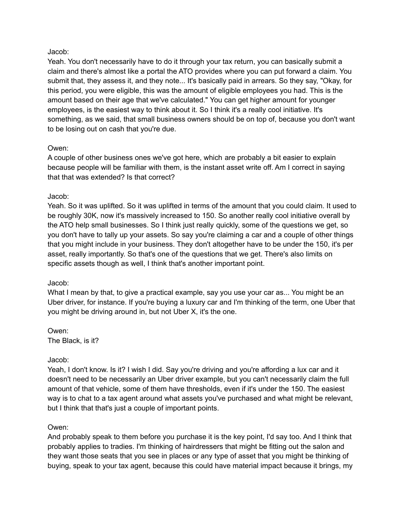Yeah. You don't necessarily have to do it through your tax return, you can basically submit a claim and there's almost like a portal the ATO provides where you can put forward a claim. You submit that, they assess it, and they note... It's basically paid in arrears. So they say, "Okay, for this period, you were eligible, this was the amount of eligible employees you had. This is the amount based on their age that we've calculated." You can get higher amount for younger employees, is the easiest way to think about it. So I think it's a really cool initiative. It's something, as we said, that small business owners should be on top of, because you don't want to be losing out on cash that you're due.

## Owen:

A couple of other business ones we've got here, which are probably a bit easier to explain because people will be familiar with them, is the instant asset write off. Am I correct in saying that that was extended? Is that correct?

## Jacob:

Yeah. So it was uplifted. So it was uplifted in terms of the amount that you could claim. It used to be roughly 30K, now it's massively increased to 150. So another really cool initiative overall by the ATO help small businesses. So I think just really quickly, some of the questions we get, so you don't have to tally up your assets. So say you're claiming a car and a couple of other things that you might include in your business. They don't altogether have to be under the 150, it's per asset, really importantly. So that's one of the questions that we get. There's also limits on specific assets though as well, I think that's another important point.

#### Jacob:

What I mean by that, to give a practical example, say you use your car as... You might be an Uber driver, for instance. If you're buying a luxury car and I'm thinking of the term, one Uber that you might be driving around in, but not Uber X, it's the one.

Owen: The Black, is it?

# Jacob:

Yeah, I don't know. Is it? I wish I did. Say you're driving and you're affording a lux car and it doesn't need to be necessarily an Uber driver example, but you can't necessarily claim the full amount of that vehicle, some of them have thresholds, even if it's under the 150. The easiest way is to chat to a tax agent around what assets you've purchased and what might be relevant, but I think that that's just a couple of important points.

#### Owen:

And probably speak to them before you purchase it is the key point, I'd say too. And I think that probably applies to tradies. I'm thinking of hairdressers that might be fitting out the salon and they want those seats that you see in places or any type of asset that you might be thinking of buying, speak to your tax agent, because this could have material impact because it brings, my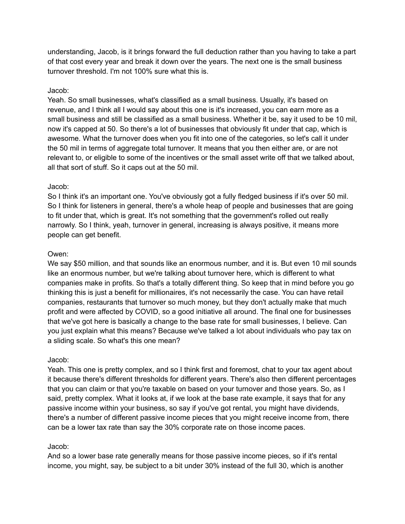understanding, Jacob, is it brings forward the full deduction rather than you having to take a part of that cost every year and break it down over the years. The next one is the small business turnover threshold. I'm not 100% sure what this is.

#### Jacob:

Yeah. So small businesses, what's classified as a small business. Usually, it's based on revenue, and I think all I would say about this one is it's increased, you can earn more as a small business and still be classified as a small business. Whether it be, say it used to be 10 mil, now it's capped at 50. So there's a lot of businesses that obviously fit under that cap, which is awesome. What the turnover does when you fit into one of the categories, so let's call it under the 50 mil in terms of aggregate total turnover. It means that you then either are, or are not relevant to, or eligible to some of the incentives or the small asset write off that we talked about, all that sort of stuff. So it caps out at the 50 mil.

## Jacob:

So I think it's an important one. You've obviously got a fully fledged business if it's over 50 mil. So I think for listeners in general, there's a whole heap of people and businesses that are going to fit under that, which is great. It's not something that the government's rolled out really narrowly. So I think, yeah, turnover in general, increasing is always positive, it means more people can get benefit.

## Owen:

We say \$50 million, and that sounds like an enormous number, and it is. But even 10 mil sounds like an enormous number, but we're talking about turnover here, which is different to what companies make in profits. So that's a totally different thing. So keep that in mind before you go thinking this is just a benefit for millionaires, it's not necessarily the case. You can have retail companies, restaurants that turnover so much money, but they don't actually make that much profit and were affected by COVID, so a good initiative all around. The final one for businesses that we've got here is basically a change to the base rate for small businesses, I believe. Can you just explain what this means? Because we've talked a lot about individuals who pay tax on a sliding scale. So what's this one mean?

# Jacob:

Yeah. This one is pretty complex, and so I think first and foremost, chat to your tax agent about it because there's different thresholds for different years. There's also then different percentages that you can claim or that you're taxable on based on your turnover and those years. So, as I said, pretty complex. What it looks at, if we look at the base rate example, it says that for any passive income within your business, so say if you've got rental, you might have dividends, there's a number of different passive income pieces that you might receive income from, there can be a lower tax rate than say the 30% corporate rate on those income paces.

# Jacob:

And so a lower base rate generally means for those passive income pieces, so if it's rental income, you might, say, be subject to a bit under 30% instead of the full 30, which is another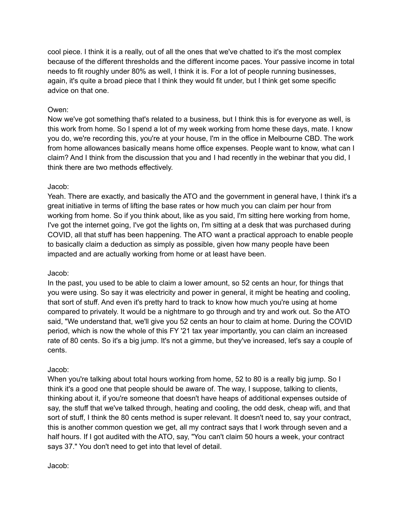cool piece. I think it is a really, out of all the ones that we've chatted to it's the most complex because of the different thresholds and the different income paces. Your passive income in total needs to fit roughly under 80% as well, I think it is. For a lot of people running businesses, again, it's quite a broad piece that I think they would fit under, but I think get some specific advice on that one.

## Owen:

Now we've got something that's related to a business, but I think this is for everyone as well, is this work from home. So I spend a lot of my week working from home these days, mate. I know you do, we're recording this, you're at your house, I'm in the office in Melbourne CBD. The work from home allowances basically means home office expenses. People want to know, what can I claim? And I think from the discussion that you and I had recently in the webinar that you did, I think there are two methods effectively.

#### Jacob:

Yeah. There are exactly, and basically the ATO and the government in general have, I think it's a great initiative in terms of lifting the base rates or how much you can claim per hour from working from home. So if you think about, like as you said, I'm sitting here working from home, I've got the internet going, I've got the lights on, I'm sitting at a desk that was purchased during COVID, all that stuff has been happening. The ATO want a practical approach to enable people to basically claim a deduction as simply as possible, given how many people have been impacted and are actually working from home or at least have been.

#### Jacob:

In the past, you used to be able to claim a lower amount, so 52 cents an hour, for things that you were using. So say it was electricity and power in general, it might be heating and cooling, that sort of stuff. And even it's pretty hard to track to know how much you're using at home compared to privately. It would be a nightmare to go through and try and work out. So the ATO said, "We understand that, we'll give you 52 cents an hour to claim at home. During the COVID period, which is now the whole of this FY '21 tax year importantly, you can claim an increased rate of 80 cents. So it's a big jump. It's not a gimme, but they've increased, let's say a couple of cents.

#### Jacob:

When you're talking about total hours working from home, 52 to 80 is a really big jump. So I think it's a good one that people should be aware of. The way, I suppose, talking to clients, thinking about it, if you're someone that doesn't have heaps of additional expenses outside of say, the stuff that we've talked through, heating and cooling, the odd desk, cheap wifi, and that sort of stuff, I think the 80 cents method is super relevant. It doesn't need to, say your contract, this is another common question we get, all my contract says that I work through seven and a half hours. If I got audited with the ATO, say, "You can't claim 50 hours a week, your contract says 37." You don't need to get into that level of detail.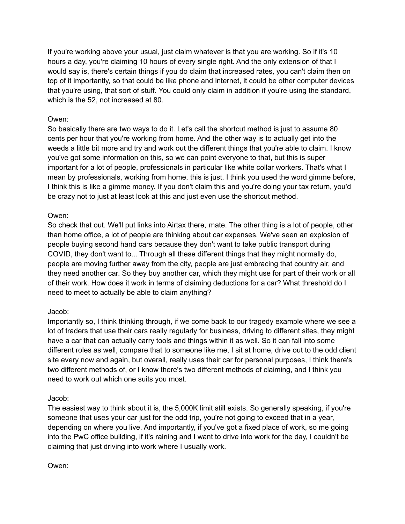If you're working above your usual, just claim whatever is that you are working. So if it's 10 hours a day, you're claiming 10 hours of every single right. And the only extension of that I would say is, there's certain things if you do claim that increased rates, you can't claim then on top of it importantly, so that could be like phone and internet, it could be other computer devices that you're using, that sort of stuff. You could only claim in addition if you're using the standard, which is the 52, not increased at 80.

# Owen:

So basically there are two ways to do it. Let's call the shortcut method is just to assume 80 cents per hour that you're working from home. And the other way is to actually get into the weeds a little bit more and try and work out the different things that you're able to claim. I know you've got some information on this, so we can point everyone to that, but this is super important for a lot of people, professionals in particular like white collar workers. That's what I mean by professionals, working from home, this is just, I think you used the word gimme before, I think this is like a gimme money. If you don't claim this and you're doing your tax return, you'd be crazy not to just at least look at this and just even use the shortcut method.

# Owen:

So check that out. We'll put links into Airtax there, mate. The other thing is a lot of people, other than home office, a lot of people are thinking about car expenses. We've seen an explosion of people buying second hand cars because they don't want to take public transport during COVID, they don't want to... Through all these different things that they might normally do, people are moving further away from the city, people are just embracing that country air, and they need another car. So they buy another car, which they might use for part of their work or all of their work. How does it work in terms of claiming deductions for a car? What threshold do I need to meet to actually be able to claim anything?

# Jacob:

Importantly so, I think thinking through, if we come back to our tragedy example where we see a lot of traders that use their cars really regularly for business, driving to different sites, they might have a car that can actually carry tools and things within it as well. So it can fall into some different roles as well, compare that to someone like me, I sit at home, drive out to the odd client site every now and again, but overall, really uses their car for personal purposes, I think there's two different methods of, or I know there's two different methods of claiming, and I think you need to work out which one suits you most.

# Jacob:

The easiest way to think about it is, the 5,000K limit still exists. So generally speaking, if you're someone that uses your car just for the odd trip, you're not going to exceed that in a year, depending on where you live. And importantly, if you've got a fixed place of work, so me going into the PwC office building, if it's raining and I want to drive into work for the day, I couldn't be claiming that just driving into work where I usually work.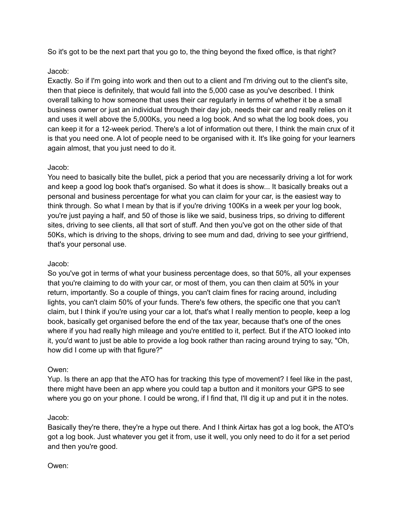So it's got to be the next part that you go to, the thing beyond the fixed office, is that right?

# Jacob:

Exactly. So if I'm going into work and then out to a client and I'm driving out to the client's site, then that piece is definitely, that would fall into the 5,000 case as you've described. I think overall talking to how someone that uses their car regularly in terms of whether it be a small business owner or just an individual through their day job, needs their car and really relies on it and uses it well above the 5,000Ks, you need a log book. And so what the log book does, you can keep it for a 12-week period. There's a lot of information out there, I think the main crux of it is that you need one. A lot of people need to be organised with it. It's like going for your learners again almost, that you just need to do it.

# Jacob:

You need to basically bite the bullet, pick a period that you are necessarily driving a lot for work and keep a good log book that's organised. So what it does is show... It basically breaks out a personal and business percentage for what you can claim for your car, is the easiest way to think through. So what I mean by that is if you're driving 100Ks in a week per your log book, you're just paying a half, and 50 of those is like we said, business trips, so driving to different sites, driving to see clients, all that sort of stuff. And then you've got on the other side of that 50Ks, which is driving to the shops, driving to see mum and dad, driving to see your girlfriend, that's your personal use.

# Jacob:

So you've got in terms of what your business percentage does, so that 50%, all your expenses that you're claiming to do with your car, or most of them, you can then claim at 50% in your return, importantly. So a couple of things, you can't claim fines for racing around, including lights, you can't claim 50% of your funds. There's few others, the specific one that you can't claim, but I think if you're using your car a lot, that's what I really mention to people, keep a log book, basically get organised before the end of the tax year, because that's one of the ones where if you had really high mileage and you're entitled to it, perfect. But if the ATO looked into it, you'd want to just be able to provide a log book rather than racing around trying to say, "Oh, how did I come up with that figure?"

# Owen:

Yup. Is there an app that the ATO has for tracking this type of movement? I feel like in the past, there might have been an app where you could tap a button and it monitors your GPS to see where you go on your phone. I could be wrong, if I find that, I'll dig it up and put it in the notes.

# Jacob:

Basically they're there, they're a hype out there. And I think Airtax has got a log book, the ATO's got a log book. Just whatever you get it from, use it well, you only need to do it for a set period and then you're good.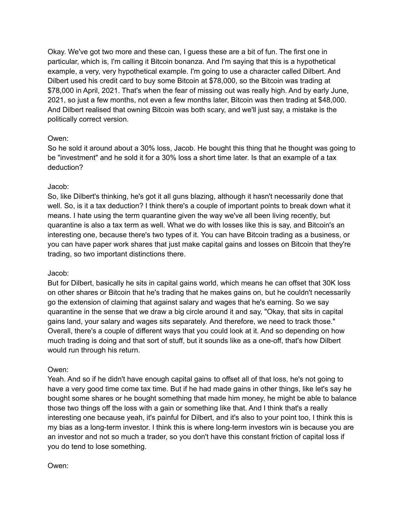Okay. We've got two more and these can, I guess these are a bit of fun. The first one in particular, which is, I'm calling it Bitcoin bonanza. And I'm saying that this is a hypothetical example, a very, very hypothetical example. I'm going to use a character called Dilbert. And Dilbert used his credit card to buy some Bitcoin at \$78,000, so the Bitcoin was trading at \$78,000 in April, 2021. That's when the fear of missing out was really high. And by early June, 2021, so just a few months, not even a few months later, Bitcoin was then trading at \$48,000. And Dilbert realised that owning Bitcoin was both scary, and we'll just say, a mistake is the politically correct version.

# Owen:

So he sold it around about a 30% loss, Jacob. He bought this thing that he thought was going to be "investment" and he sold it for a 30% loss a short time later. Is that an example of a tax deduction?

## Jacob:

So, like Dilbert's thinking, he's got it all guns blazing, although it hasn't necessarily done that well. So, is it a tax deduction? I think there's a couple of important points to break down what it means. I hate using the term quarantine given the way we've all been living recently, but quarantine is also a tax term as well. What we do with losses like this is say, and Bitcoin's an interesting one, because there's two types of it. You can have Bitcoin trading as a business, or you can have paper work shares that just make capital gains and losses on Bitcoin that they're trading, so two important distinctions there.

#### Jacob:

But for Dilbert, basically he sits in capital gains world, which means he can offset that 30K loss on other shares or Bitcoin that he's trading that he makes gains on, but he couldn't necessarily go the extension of claiming that against salary and wages that he's earning. So we say quarantine in the sense that we draw a big circle around it and say, "Okay, that sits in capital gains land, your salary and wages sits separately. And therefore, we need to track those." Overall, there's a couple of different ways that you could look at it. And so depending on how much trading is doing and that sort of stuff, but it sounds like as a one-off, that's how Dilbert would run through his return.

#### Owen:

Yeah. And so if he didn't have enough capital gains to offset all of that loss, he's not going to have a very good time come tax time. But if he had made gains in other things, like let's say he bought some shares or he bought something that made him money, he might be able to balance those two things off the loss with a gain or something like that. And I think that's a really interesting one because yeah, it's painful for Dilbert, and it's also to your point too, I think this is my bias as a long-term investor. I think this is where long-term investors win is because you are an investor and not so much a trader, so you don't have this constant friction of capital loss if you do tend to lose something.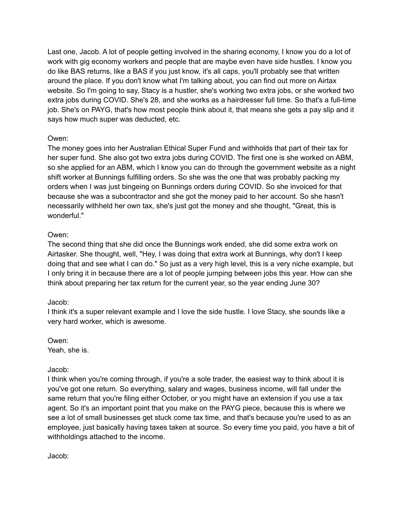Last one, Jacob. A lot of people getting involved in the sharing economy, I know you do a lot of work with gig economy workers and people that are maybe even have side hustles. I know you do like BAS returns, like a BAS if you just know, it's all caps, you'll probably see that written around the place. If you don't know what I'm talking about, you can find out more on Airtax website. So I'm going to say, Stacy is a hustler, she's working two extra jobs, or she worked two extra jobs during COVID. She's 28, and she works as a hairdresser full time. So that's a full-time job. She's on PAYG, that's how most people think about it, that means she gets a pay slip and it says how much super was deducted, etc.

## Owen:

The money goes into her Australian Ethical Super Fund and withholds that part of their tax for her super fund. She also got two extra jobs during COVID. The first one is she worked on ABM, so she applied for an ABM, which I know you can do through the government website as a night shift worker at Bunnings fulfilling orders. So she was the one that was probably packing my orders when I was just bingeing on Bunnings orders during COVID. So she invoiced for that because she was a subcontractor and she got the money paid to her account. So she hasn't necessarily withheld her own tax, she's just got the money and she thought, "Great, this is wonderful."

## Owen:

The second thing that she did once the Bunnings work ended, she did some extra work on Airtasker. She thought, well, "Hey, I was doing that extra work at Bunnings, why don't I keep doing that and see what I can do." So just as a very high level, this is a very niche example, but I only bring it in because there are a lot of people jumping between jobs this year. How can she think about preparing her tax return for the current year, so the year ending June 30?

#### Jacob:

I think it's a super relevant example and I love the side hustle. I love Stacy, she sounds like a very hard worker, which is awesome.

Owen: Yeah, she is.

#### Jacob:

I think when you're coming through, if you're a sole trader, the easiest way to think about it is you've got one return. So everything, salary and wages, business income, will fall under the same return that you're filing either October, or you might have an extension if you use a tax agent. So it's an important point that you make on the PAYG piece, because this is where we see a lot of small businesses get stuck come tax time, and that's because you're used to as an employee, just basically having taxes taken at source. So every time you paid, you have a bit of withholdings attached to the income.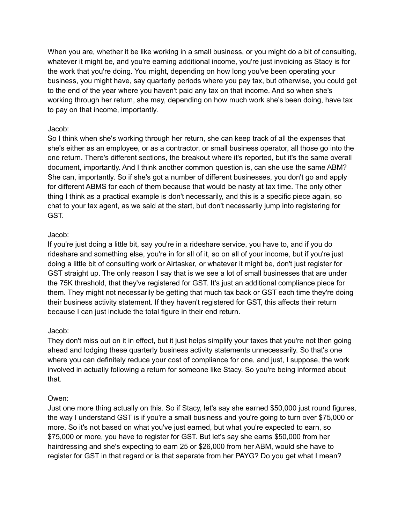When you are, whether it be like working in a small business, or you might do a bit of consulting, whatever it might be, and you're earning additional income, you're just invoicing as Stacy is for the work that you're doing. You might, depending on how long you've been operating your business, you might have, say quarterly periods where you pay tax, but otherwise, you could get to the end of the year where you haven't paid any tax on that income. And so when she's working through her return, she may, depending on how much work she's been doing, have tax to pay on that income, importantly.

## Jacob:

So I think when she's working through her return, she can keep track of all the expenses that she's either as an employee, or as a contractor, or small business operator, all those go into the one return. There's different sections, the breakout where it's reported, but it's the same overall document, importantly. And I think another common question is, can she use the same ABM? She can, importantly. So if she's got a number of different businesses, you don't go and apply for different ABMS for each of them because that would be nasty at tax time. The only other thing I think as a practical example is don't necessarily, and this is a specific piece again, so chat to your tax agent, as we said at the start, but don't necessarily jump into registering for GST.

## Jacob:

If you're just doing a little bit, say you're in a rideshare service, you have to, and if you do rideshare and something else, you're in for all of it, so on all of your income, but if you're just doing a little bit of consulting work or Airtasker, or whatever it might be, don't just register for GST straight up. The only reason I say that is we see a lot of small businesses that are under the 75K threshold, that they've registered for GST. It's just an additional compliance piece for them. They might not necessarily be getting that much tax back or GST each time they're doing their business activity statement. If they haven't registered for GST, this affects their return because I can just include the total figure in their end return.

# Jacob:

They don't miss out on it in effect, but it just helps simplify your taxes that you're not then going ahead and lodging these quarterly business activity statements unnecessarily. So that's one where you can definitely reduce your cost of compliance for one, and just, I suppose, the work involved in actually following a return for someone like Stacy. So you're being informed about that.

# Owen:

Just one more thing actually on this. So if Stacy, let's say she earned \$50,000 just round figures, the way I understand GST is if you're a small business and you're going to turn over \$75,000 or more. So it's not based on what you've just earned, but what you're expected to earn, so \$75,000 or more, you have to register for GST. But let's say she earns \$50,000 from her hairdressing and she's expecting to earn 25 or \$26,000 from her ABM, would she have to register for GST in that regard or is that separate from her PAYG? Do you get what I mean?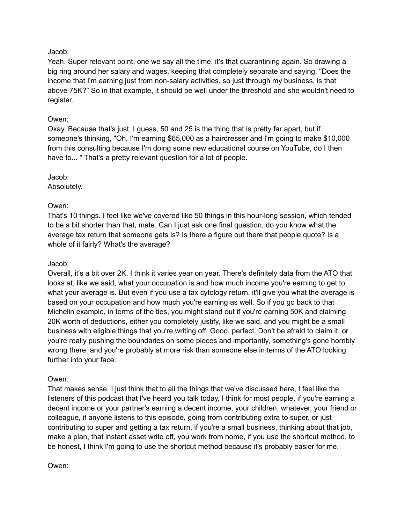Yeah. Super relevant point, one we say all the time, it's that quarantining again. So drawing a big ring around her salary and wages, keeping that completely separate and saying, "Does the income that I'm earning just from non-salary activities, so just through my business, is that above 75K?" So in that example, it should be well under the threshold and she wouldn't need to register.

# Owen:

Okay. Because that's just, I guess, 50 and 25 is the thing that is pretty far apart, but if someone's thinking, "Oh, I'm earning \$65,000 as a hairdresser and I'm going to make \$10,000 from this consulting because I'm doing some new educational course on YouTube, do I then have to... " That's a pretty relevant question for a lot of people.

## Jacob:

Absolutely.

## Owen:

That's 10 things. I feel like we've covered like 50 things in this hour-long session, which tended to be a bit shorter than that, mate. Can I just ask one final question, do you know what the average tax return that someone gets is? Is there a figure out there that people quote? Is a whole of it fairly? What's the average?

## Jacob:

Overall, it's a bit over 2K, I think it varies year on year. There's definitely data from the ATO that looks at, like we said, what your occupation is and how much income you're earning to get to what your average is. But even if you use a tax cytology return, it'll give you what the average is based on your occupation and how much you're earning as well. So if you go back to that Michelin example, in terms of the ties, you might stand out if you're earning 50K and claiming 20K worth of deductions, either you completely justify, like we said, and you might be a small business with eligible things that you're writing off. Good, perfect. Don't be afraid to claim it, or you're really pushing the boundaries on some pieces and importantly, something's gone horribly wrong there, and you're probably at more risk than someone else in terms of the ATO looking further into your face.

#### Owen:

That makes sense. I just think that to all the things that we've discussed here, I feel like the listeners of this podcast that I've heard you talk today, I think for most people, if you're earning a decent income or your partner's earning a decent income, your children, whatever, your friend or colleague, if anyone listens to this episode, going from contributing extra to super, or just contributing to super and getting a tax return, if you're a small business, thinking about that job, make a plan, that instant asset write off, you work from home, if you use the shortcut method, to be honest, I think I'm going to use the shortcut method because it's probably easier for me.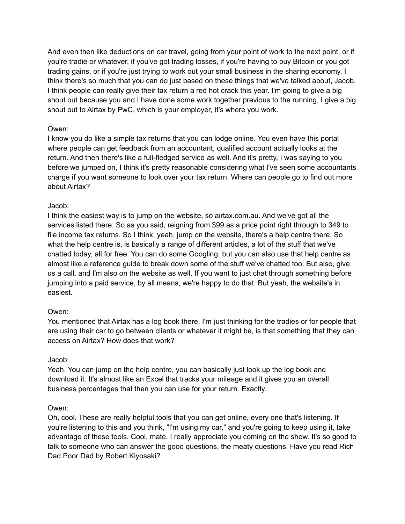And even then like deductions on car travel, going from your point of work to the next point, or if you're tradie or whatever, if you've got trading losses, if you're having to buy Bitcoin or you got trading gains, or if you're just trying to work out your small business in the sharing economy, I think there's so much that you can do just based on these things that we've talked about, Jacob. I think people can really give their tax return a red hot crack this year. I'm going to give a big shout out because you and I have done some work together previous to the running, I give a big shout out to Airtax by PwC, which is your employer, it's where you work.

## Owen:

I know you do like a simple tax returns that you can lodge online. You even have this portal where people can get feedback from an accountant, qualified account actually looks at the return. And then there's like a full-fledged service as well. And it's pretty, I was saying to you before we jumped on, I think it's pretty reasonable considering what I've seen some accountants charge if you want someone to look over your tax return. Where can people go to find out more about Airtax?

# Jacob:

I think the easiest way is to jump on the website, so airtax.com.au. And we've got all the services listed there. So as you said, reigning from \$99 as a price point right through to 349 to file income tax returns. So I think, yeah, jump on the website, there's a help centre there. So what the help centre is, is basically a range of different articles, a lot of the stuff that we've chatted today, all for free. You can do some Googling, but you can also use that help centre as almost like a reference guide to break down some of the stuff we've chatted too. But also, give us a call, and I'm also on the website as well. If you want to just chat through something before jumping into a paid service, by all means, we're happy to do that. But yeah, the website's in easiest.

# Owen:

You mentioned that Airtax has a log book there. I'm just thinking for the tradies or for people that are using their car to go between clients or whatever it might be, is that something that they can access on Airtax? How does that work?

#### Jacob:

Yeah. You can jump on the help centre, you can basically just look up the log book and download it. It's almost like an Excel that tracks your mileage and it gives you an overall business percentages that then you can use for your return. Exactly.

#### Owen:

Oh, cool. These are really helpful tools that you can get online, every one that's listening. If you're listening to this and you think, "I'm using my car," and you're going to keep using it, take advantage of these tools. Cool, mate. I really appreciate you coming on the show. It's so good to talk to someone who can answer the good questions, the meaty questions. Have you read Rich Dad Poor Dad by Robert Kiyosaki?